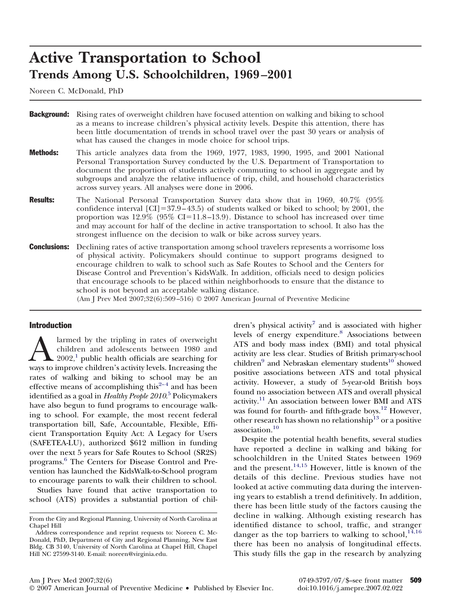# **Active Transportation to School Trends Among U.S. Schoolchildren, 1969 –2001**

Noreen C. McDonald, PhD

| <b>Background:</b>  | Rising rates of overweight children have focused attention on walking and biking to school<br>as a means to increase children's physical activity levels. Despite this attention, there has<br>been little documentation of trends in school travel over the past 30 years or analysis of<br>what has caused the changes in mode choice for school trips.                                                                                                                                                                                                                                                                 |
|---------------------|---------------------------------------------------------------------------------------------------------------------------------------------------------------------------------------------------------------------------------------------------------------------------------------------------------------------------------------------------------------------------------------------------------------------------------------------------------------------------------------------------------------------------------------------------------------------------------------------------------------------------|
| <b>Methods:</b>     | This article analyzes data from the 1969, 1977, 1983, 1990, 1995, and 2001 National<br>Personal Transportation Survey conducted by the U.S. Department of Transportation to<br>document the proportion of students actively commuting to school in aggregate and by<br>subgroups and analyze the relative influence of trip, child, and household characteristics<br>across survey years. All analyses were done in 2006.                                                                                                                                                                                                 |
| <b>Results:</b>     | The National Personal Transportation Survey data show that in 1969, 40.7% (95%)<br>confidence interval $\text{[CI]} = 37.9 - 43.5$ of students walked or biked to school; by 2001, the<br>proportion was $12.9\%$ (95% CI=11.8–13.9). Distance to school has increased over time<br>and may account for half of the decline in active transportation to school. It also has the<br>strongest influence on the decision to walk or bike across survey years.                                                                                                                                                               |
| <b>Conclusions:</b> | Declining rates of active transportation among school travelers represents a worrisome loss<br>of physical activity. Policymakers should continue to support programs designed to<br>encourage children to walk to school such as Safe Routes to School and the Centers for<br>Disease Control and Prevention's KidsWalk. In addition, officials need to design policies<br>that encourage schools to be placed within neighborhoods to ensure that the distance to<br>school is not beyond an acceptable walking distance.<br>(Am J Prev Med $2007;32(6):509-516$ ) $\odot$ 2007 American Journal of Preventive Medicine |

## Introduction

Alarmed by the tripling in rates of overweight<br>children and adolescents between 1980 and<br>2002,<sup>1</sup> public health officials are searching for<br>ways to improve children's activity levels. Increasing the children and adolescents between 1980 and  $2002$ ,<sup>1</sup> public health officials are searching for ways to improve children's activity levels. Increasing the rates of walking and biking to school may be an effective means of accomplishing this<sup> $2-4$ </sup> and has been identified as a goal in *Healthy People 2010*. [5](#page-6-0) Policymakers have also begun to fund programs to encourage walking to school. For example, the most recent federal transportation bill, Safe, Accountable, Flexible, Efficient Transportation Equity Act: A Legacy for Users (SAFETEA-LU), authorized \$612 million in funding over the next 5 years for Safe Routes to School (SR2S) programs.[6](#page-6-0) The Centers for Disease Control and Prevention has launched the KidsWalk-to-School program to encourage parents to walk their children to school.

Studies have found that active transportation to school (ATS) provides a substantial portion of children's physical activity<sup>[7](#page-6-0)</sup> and is associated with higher levels of energy expenditure.[8](#page-6-0) Associations between ATS and body mass index (BMI) and total physical activity are less clear. Studies of British primary-school children<sup>9</sup> and Nebraskan elementary students<sup>10</sup> showed positive associations between ATS and total physical activity. However, a study of 5-year-old British boys found no association between ATS and overall physical activity.[11](#page-7-0) An association between lower BMI and ATS was found for fourth- and fifth-grade boys.<sup>[12](#page-7-0)</sup> However, other research has shown no relationship<sup>[13](#page-7-0)</sup> or a positive association.[10](#page-7-0)

Despite the potential health benefits, several studies have reported a decline in walking and biking for schoolchildren in the United States between 1969 and the present.[14,15](#page-7-0) However, little is known of the details of this decline. Previous studies have not looked at active commuting data during the intervening years to establish a trend definitively. In addition, there has been little study of the factors causing the decline in walking. Although existing research has identified distance to school, traffic, and stranger danger as the top barriers to walking to school,  $14,16$ there has been no analysis of longitudinal effects. This study fills the gap in the research by analyzing

From the City and Regional Planning, University of North Carolina at Chapel Hill

Address correspondence and reprint requests to: Noreen C. Mc-Donald, PhD, Department of City and Regional Planning, New East Bldg. CB 3140, University of North Carolina at Chapel Hill, Chapel Hill NC 27599-3140. E-mail: noreen@virginia.edu.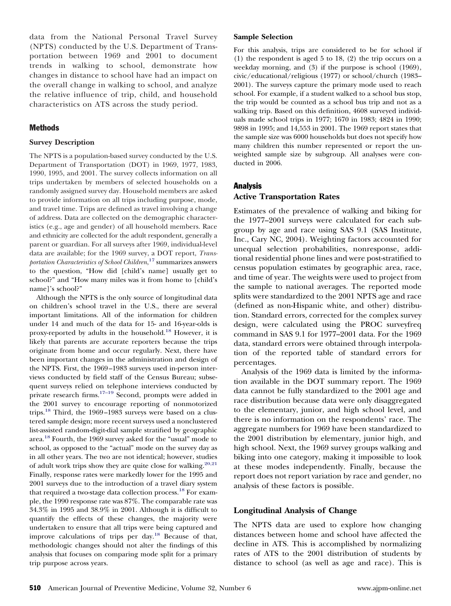data from the National Personal Travel Survey (NPTS) conducted by the U.S. Department of Transportation between 1969 and 2001 to document trends in walking to school, demonstrate how changes in distance to school have had an impact on the overall change in walking to school, and analyze the relative influence of trip, child, and household characteristics on ATS across the study period.

# **Methods**

## **Survey Description**

The NPTS is a population-based survey conducted by the U.S. Department of Transportation (DOT) in 1969, 1977, 1983, 1990, 1995, and 2001. The survey collects information on all trips undertaken by members of selected households on a randomly assigned survey day. Household members are asked to provide information on all trips including purpose, mode, and travel time. Trips are defined as travel involving a change of address. Data are collected on the demographic characteristics (e.g., age and gender) of all household members. Race and ethnicity are collected for the adult respondent, generally a parent or guardian. For all surveys after 1969, individual-level data are available; for the 1969 survey, a DOT report, *Transportation Characteristics of School Children*, [17](#page-7-0) summarizes answers to the question, "How did [child's name] usually get to school?" and "How many miles was it from home to [child's name]'s school?"

Although the NPTS is the only source of longitudinal data on children's school travel in the U.S., there are several important limitations. All of the information for children under 14 and much of the data for 15- and 16-year-olds is proxy-reported by adults in the household[.18](#page-7-0) However, it is likely that parents are accurate reporters because the trips originate from home and occur regularly. Next, there have been important changes in the administration and design of the NPTS. First, the 1969–1983 surveys used in-person interviews conducted by field staff of the Census Bureau; subsequent surveys relied on telephone interviews conducted by private research firms.<sup>17–19</sup> Second, prompts were added in the 2001 survey to encourage reporting of nonmotorized trips[.18](#page-7-0) Third, the 1969–1983 surveys were based on a clustered sample design; more recent surveys used a nonclustered list-assisted random-digit-dial sample stratified by geographic area[.18](#page-7-0) Fourth, the 1969 survey asked for the "usual" mode to school, as opposed to the "actual" mode on the survey day as in all other years. The two are not identical; however, studies of adult work trips show they are quite close for walking.<sup>20,21</sup> Finally, response rates were markedly lower for the 1995 and 2001 surveys due to the introduction of a travel diary system that required a two-stage data collection process.<sup>18</sup> For example, the 1990 response rate was 87%. The comparable rate was 34.3% in 1995 and 38.9% in 2001. Although it is difficult to quantify the effects of these changes, the majority were undertaken to ensure that all trips were being captured and improve calculations of trips per day[.18](#page-7-0) Because of that, methodologic changes should not alter the findings of this analysis that focuses on comparing mode split for a primary trip purpose across years.

#### **Sample Selection**

For this analysis, trips are considered to be for school if (1) the respondent is aged 5 to 18, (2) the trip occurs on a weekday morning, and (3) if the purpose is school (1969), civic/educational/religious (1977) or school/church (1983– 2001). The surveys capture the primary mode used to reach school. For example, if a student walked to a school bus stop, the trip would be counted as a school bus trip and not as a walking trip. Based on this definition, 4608 surveyed individuals made school trips in 1977; 1670 in 1983; 4824 in 1990; 9898 in 1995; and 14,553 in 2001. The 1969 report states that the sample size was 6000 households but does not specify how many children this number represented or report the unweighted sample size by subgroup. All analyses were conducted in 2006.

## Analysis

## **Active Transportation Rates**

Estimates of the prevalence of walking and biking for the 1977–2001 surveys were calculated for each subgroup by age and race using SAS 9.1 (SAS Institute, Inc., Cary NC, 2004). Weighting factors accounted for unequal selection probabilities, nonresponse, additional residential phone lines and were post-stratified to census population estimates by geographic area, race, and time of year. The weights were used to project from the sample to national averages. The reported mode splits were standardized to the 2001 NPTS age and race (defined as non-Hispanic white, and other) distribution. Standard errors, corrected for the complex survey design, were calculated using the PROC surveyfreq command in SAS 9.1 for 1977–2001 data. For the 1969 data, standard errors were obtained through interpolation of the reported table of standard errors for percentages.

Analysis of the 1969 data is limited by the information available in the DOT summary report. The 1969 data cannot be fully standardized to the 2001 age and race distribution because data were only disaggregated to the elementary, junior, and high school level, and there is no information on the respondents' race. The aggregate numbers for 1969 have been standardized to the 2001 distribution by elementary, junior high, and high school. Next, the 1969 survey groups walking and biking into one category, making it impossible to look at these modes independently. Finally, because the report does not report variation by race and gender, no analysis of these factors is possible.

## **Longitudinal Analysis of Change**

The NPTS data are used to explore how changing distances between home and school have affected the decline in ATS. This is accomplished by normalizing rates of ATS to the 2001 distribution of students by distance to school (as well as age and race). This is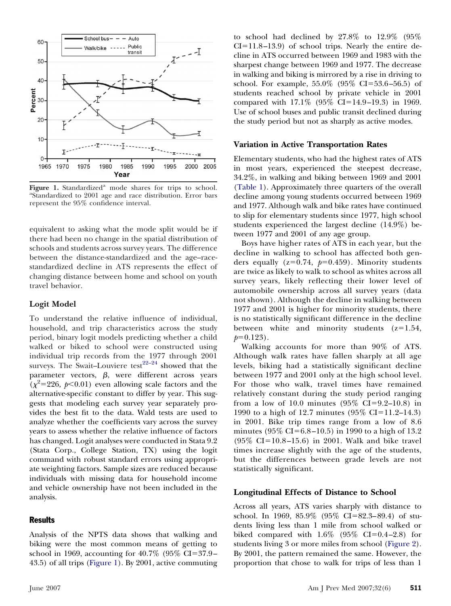

Figure 1. Standardized<sup>a</sup> mode shares for trips to school. Standardized to 2001 age and race distribution. Error bars represent the 95% confidence interval.

equivalent to asking what the mode split would be if there had been no change in the spatial distribution of schools and students across survey years. The difference between the distance-standardized and the age–racestandardized decline in ATS represents the effect of changing distance between home and school on youth travel behavior.

## **Logit Model**

To understand the relative influence of individual, household, and trip characteristics across the study period, binary logit models predicting whether a child walked or biked to school were constructed using individual trip records from the 1977 through 2001 surveys. The Swait-Louviere test $2^{2-24}$  showed that the parameter vectors,  $\beta$ , were different across years  $(\chi^2 = 226, p < 0.01)$  even allowing scale factors and the alternative-specific constant to differ by year. This suggests that modeling each survey year separately provides the best fit to the data. Wald tests are used to analyze whether the coefficients vary across the survey years to assess whether the relative influence of factors has changed. Logit analyses were conducted in Stata 9.2 (Stata Corp., College Station, TX) using the logit command with robust standard errors using appropriate weighting factors. Sample sizes are reduced because individuals with missing data for household income and vehicle ownership have not been included in the analysis.

# **Results**

Analysis of the NPTS data shows that walking and biking were the most common means of getting to school in 1969, accounting for  $40.7\%$  (95% CI=37.9– 43.5) of all trips (Figure 1). By 2001, active commuting

to school had declined by 27.8% to 12.9% (95%  $CI = 11.8 - 13.9$ ) of school trips. Nearly the entire decline in ATS occurred between 1969 and 1983 with the sharpest change between 1969 and 1977. The decrease in walking and biking is mirrored by a rise in driving to school. For example,  $55.0\%$  ( $95\%$  CI=53.6–56.5) of students reached school by private vehicle in 2001 compared with  $17.1\%$  (95% CI=14.9–19.3) in 1969. Use of school buses and public transit declined during the study period but not as sharply as active modes.

#### **Variation in Active Transportation Rates**

Elementary students, who had the highest rates of ATS in most years, experienced the steepest decrease, 34.2%, in walking and biking between 1969 and 2001 [\(Table 1\)](#page-3-0). Approximately three quarters of the overall decline among young students occurred between 1969 and 1977. Although walk and bike rates have continued to slip for elementary students since 1977, high school students experienced the largest decline (14.9%) between 1977 and 2001 of any age group.

Boys have higher rates of ATS in each year, but the decline in walking to school has affected both genders equally  $(z=0.74, p=0.459)$ . Minority students are twice as likely to walk to school as whites across all survey years, likely reflecting their lower level of automobile ownership across all survey years (data not shown). Although the decline in walking between 1977 and 2001 is higher for minority students, there is no statistically significant difference in the decline between white and minority students  $(z=1.54,$  $p=0.123$ .

Walking accounts for more than 90% of ATS. Although walk rates have fallen sharply at all age levels, biking had a statistically significant decline between 1977 and 2001 only at the high school level. For those who walk, travel times have remained relatively constant during the study period ranging from a low of 10.0 minutes  $(95\% \text{ CI} = 9.2 - 10.8)$  in 1990 to a high of 12.7 minutes  $(95\% \text{ CI} = 11.2 - 14.3)$ in 2001. Bike trip times range from a low of 8.6 minutes  $(95\% \text{ CI} = 6.8 - 10.5)$  in 1990 to a high of 13.2  $(95\% \text{ CI} = 10.8 - 15.6)$  in 2001. Walk and bike travel times increase slightly with the age of the students, but the differences between grade levels are not statistically significant.

#### **Longitudinal Effects of Distance to School**

Across all years, ATS varies sharply with distance to school. In 1969, 85.9% (95% CI=82.3–89.4) of students living less than 1 mile from school walked or biked compared with  $1.6\%$  (95% CI=0.4–2.8) for students living 3 or more miles from school [\(Figure 2\)](#page-4-0). By 2001, the pattern remained the same. However, the proportion that chose to walk for trips of less than 1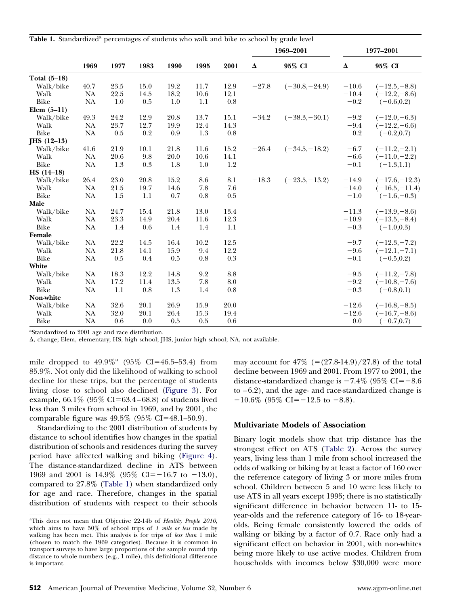<span id="page-3-0"></span>

| Table 1. Standardized <sup>a</sup> percentages of students who walk and bike to school by grade level |           |         |      |      |          |                 |           |                 |           |                 |
|-------------------------------------------------------------------------------------------------------|-----------|---------|------|------|----------|-----------------|-----------|-----------------|-----------|-----------------|
|                                                                                                       |           |         |      |      |          |                 | 1969-2001 |                 | 1977-2001 |                 |
|                                                                                                       | 1969      | 1977    | 1983 | 1990 | 1995     | 2001            | Δ         | 95% CI          | Δ         | 95% CI          |
| Total $(5-18)$                                                                                        |           |         |      |      |          |                 |           |                 |           |                 |
| Walk/bike                                                                                             | 40.7      | 23.5    | 15.0 | 19.2 | 11.7     | 12.9            | $-27.8$   | $(-30.8,-24.9)$ | $-10.6$   | $(-12.5,-8.8)$  |
| Walk                                                                                                  | <b>NA</b> | 22.5    | 14.5 | 18.2 | 10.6     | 12.1            |           |                 | $-10.4$   | $(-12.2,-8.6)$  |
| Bike                                                                                                  | <b>NA</b> | 1.0     | 0.5  | 1.0  | 1.1      | $0.8\,$         |           |                 | $-0.2$    | $(-0.6, 0.2)$   |
| Elem $(5-11)$                                                                                         |           |         |      |      |          |                 |           |                 |           |                 |
| Walk/bike                                                                                             | 49.3      | 24.2    | 12.9 | 20.8 | 13.7     | 15.1            | $-34.2$   | $(-38.3,-30.1)$ | $-9.2$    | $(-12.0,-6.3)$  |
| Walk                                                                                                  | <b>NA</b> | 23.7    | 12.7 | 19.9 | 12.4     | 14.3            |           |                 | $-9.4$    | $(-12.2,-6.6)$  |
| Bike                                                                                                  | <b>NA</b> | $0.5\,$ | 0.2  | 0.9  | $1.3\,$  | $0.8\,$         |           |                 | $0.2\,$   | $(-0.2, 0.7)$   |
| $JHS$ (12-13)                                                                                         |           |         |      |      |          |                 |           |                 |           |                 |
| Walk/bike                                                                                             | 41.6      | 21.9    | 10.1 | 21.8 | 11.6     | 15.2            | $-26.4$   | $(-34.5,-18.2)$ | $-6.7$    | $(-11.2,-2.1)$  |
| Walk                                                                                                  | <b>NA</b> | 20.6    | 9.8  | 20.0 | $10.6\,$ | 14.1            |           |                 | $-6.6$    | $(-11.0,-2.2)$  |
| Bike                                                                                                  | <b>NA</b> | 1.3     | 0.3  | 1.8  | 1.0      | 1.2             |           |                 | $-0.1$    | $(-1.3, 1.1)$   |
| $HS (14-18)$                                                                                          |           |         |      |      |          |                 |           |                 |           |                 |
| Walk/bike                                                                                             | 26.4      | 23.0    | 20.8 | 15.2 | 8.6      | 8.1             | $-18.3$   | $(-23.5,-13.2)$ | $-14.9$   | $(-17.6,-12.3)$ |
| Walk                                                                                                  | <b>NA</b> | 21.5    | 19.7 | 14.6 | 7.8      | 7.6             |           |                 | $-14.0$   | $(-16.5,-11.4)$ |
| Bike                                                                                                  | <b>NA</b> | 1.5     | 1.1  | 0.7  | 0.8      | 0.5             |           |                 | $-1.0$    | $(-1.6,-0.3)$   |
| Male                                                                                                  |           |         |      |      |          |                 |           |                 |           |                 |
| Walk/bike                                                                                             | <b>NA</b> | 24.7    | 15.4 | 21.8 | 13.0     | 13.4            |           |                 | $-11.3$   | $(-13.9,-8.6)$  |
| Walk                                                                                                  | <b>NA</b> | 23.3    | 14.9 | 20.4 | 11.6     | 12.3            |           |                 | $-10.9$   | $(-13.5,-8.4)$  |
| Bike                                                                                                  | <b>NA</b> | $1.4\,$ | 0.6  | 1.4  | 1.4      | 1.1             |           |                 | $-0.3$    | $(-1.0, 0.3)$   |
| Female                                                                                                |           |         |      |      |          |                 |           |                 |           |                 |
| Walk/bike                                                                                             | <b>NA</b> | 22.2    | 14.5 | 16.4 | 10.2     | 12.5            |           |                 | $-9.7$    | $(-12.3,-7.2)$  |
| Walk                                                                                                  | <b>NA</b> | 21.8    | 14.1 | 15.9 | 9.4      | 12.2            |           |                 | $-9.6$    | $(-12.1,-7.1)$  |
| Bike                                                                                                  | NA        | 0.5     | 0.4  | 0.5  | 0.8      | 0.3             |           |                 | $-0.1$    | $(-0.5, 0.2)$   |
| White                                                                                                 |           |         |      |      |          |                 |           |                 |           |                 |
| Walk/bike                                                                                             | <b>NA</b> | 18.3    | 12.2 | 14.8 | 9.2      | $\!\!\!\!\!8.8$ |           |                 | $-9.5$    | $(-11.2,-7.8)$  |
| Walk                                                                                                  | $\rm NA$  | 17.2    | 11.4 | 13.5 | $7.8\,$  | 8.0             |           |                 | $-9.2$    | $(-10.8,-7.6)$  |
| Bike                                                                                                  | <b>NA</b> | $1.1\,$ | 0.8  | 1.3  | 1.4      | 0.8             |           |                 | $-0.3$    | $(-0.8, 0.1)$   |
| Non-white                                                                                             |           |         |      |      |          |                 |           |                 |           |                 |
| Walk/bike                                                                                             | <b>NA</b> | 32.6    | 20.1 | 26.9 | 15.9     | 20.0            |           |                 | $-12.6$   | $(-16.8,-8.5)$  |
| Walk                                                                                                  | <b>NA</b> | 32.0    | 20.1 | 26.4 | 15.3     | 19.4            |           |                 | $-12.6$   | $(-16.7,-8.6)$  |
| Bike                                                                                                  | <b>NA</b> | 0.6     | 0.0  | 0.5  | 0.5      | 0.6             |           |                 | 0.0       | $(-0.7, 0.7)$   |
|                                                                                                       |           |         |      |      |          |                 |           |                 |           |                 |

<sup>a</sup>Standardized to 2001 age and race distribution.

, change; Elem, elementary; HS, high school; JHS, junior high school; NA, not available.

mile dropped to  $49.9\%$ <sup>a</sup> (95% CI=46.5–53.4) from 85.9%. Not only did the likelihood of walking to school decline for these trips, but the percentage of students living close to school also declined [\(Figure 3\)](#page-4-0). For example,  $66.1\%$  ( $95\%$  CI=63.4–68.8) of students lived less than 3 miles from school in 1969, and by 2001, the comparable figure was  $49.5\%$  (95% CI=48.1–50.9).

Standardizing to the 2001 distribution of students by distance to school identifies how changes in the spatial distribution of schools and residences during the survey period have affected walking and biking [\(Figure 4\)](#page-4-0). The distance-standardized decline in ATS between 1969 and 2001 is  $14.9\%$  (95% CI=-16.7 to -13.0), compared to 27.8% (Table 1) when standardized only for age and race. Therefore, changes in the spatial distribution of students with respect to their schools

may account for  $47\%$  (=(27.8-14.9)/27.8) of the total decline between 1969 and 2001. From 1977 to 2001, the distance-standardized change is  $-7.4\%$  (95% CI= $-8.6$ ) to –6.2), and the age- and race-standardized change is  $-10.6\%$  (95% CI= $-12.5$  to  $-8.8$ ).

## **Multivariate Models of Association**

Binary logit models show that trip distance has the strongest effect on ATS [\(Table 2\)](#page-5-0). Across the survey years, living less than 1 mile from school increased the odds of walking or biking by at least a factor of 160 over the reference category of living 3 or more miles from school. Children between 5 and 10 were less likely to use ATS in all years except 1995; there is no statistically significant difference in behavior between 11- to 15 year-olds and the reference category of 16- to 18-yearolds. Being female consistently lowered the odds of walking or biking by a factor of 0.7. Race only had a significant effect on behavior in 2001, with non-whites being more likely to use active modes. Children from households with incomes below \$30,000 were more

a This does not mean that Objective 22-14b of *Healthy People 2010*, which aims to have 50% of school trips of *1 mile or less* made by walking has been met. This analysis is for trips of *less than* 1 mile (chosen to match the 1969 categories). Because it is common in transport surveys to have large proportions of the sample round trip distance to whole numbers (e.g., 1 mile), this definitional difference is important.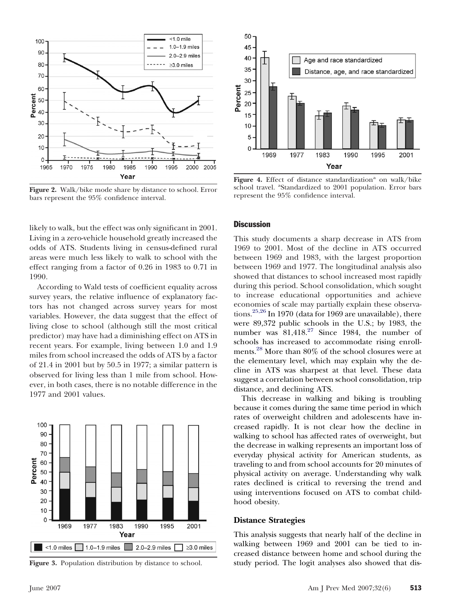<span id="page-4-0"></span>

**Figure 2.** Walk/bike mode share by distance to school. Error bars represent the 95% confidence interval.

likely to walk, but the effect was only significant in 2001. Living in a zero-vehicle household greatly increased the odds of ATS. Students living in census-defined rural areas were much less likely to walk to school with the effect ranging from a factor of 0.26 in 1983 to 0.71 in 1990.

According to Wald tests of coefficient equality across survey years, the relative influence of explanatory factors has not changed across survey years for most variables. However, the data suggest that the effect of living close to school (although still the most critical predictor) may have had a diminishing effect on ATS in recent years. For example, living between 1.0 and 1.9 miles from school increased the odds of ATS by a factor of 21.4 in 2001 but by 50.5 in 1977; a similar pattern is observed for living less than 1 mile from school. However, in both cases, there is no notable difference in the 1977 and 2001 values.



**Figure 3.** Population distribution by distance to school.



Figure 4. Effect of distance standardization<sup>a</sup> on walk/bike school travel. <sup>a</sup>Standardized to 2001 population. Error bars represent the 95% confidence interval.

#### **Discussion**

This study documents a sharp decrease in ATS from 1969 to 2001. Most of the decline in ATS occurred between 1969 and 1983, with the largest proportion between 1969 and 1977. The longitudinal analysis also showed that distances to school increased most rapidly during this period. School consolidation, which sought to increase educational opportunities and achieve economies of scale may partially explain these observations.[25,26](#page-7-0) In 1970 (data for 1969 are unavailable), there were 89,372 public schools in the U.S.; by 1983, the number was  $81,418^{27}$  $81,418^{27}$  $81,418^{27}$  Since 1984, the number of schools has increased to accommodate rising enrollments.[28](#page-7-0) More than 80% of the school closures were at the elementary level, which may explain why the decline in ATS was sharpest at that level. These data suggest a correlation between school consolidation, trip distance, and declining ATS.

This decrease in walking and biking is troubling because it comes during the same time period in which rates of overweight children and adolescents have increased rapidly. It is not clear how the decline in walking to school has affected rates of overweight, but the decrease in walking represents an important loss of everyday physical activity for American students, as traveling to and from school accounts for 20 minutes of physical activity on average. Understanding why walk rates declined is critical to reversing the trend and using interventions focused on ATS to combat childhood obesity.

### **Distance Strategies**

This analysis suggests that nearly half of the decline in walking between 1969 and 2001 can be tied to increased distance between home and school during the study period. The logit analyses also showed that dis-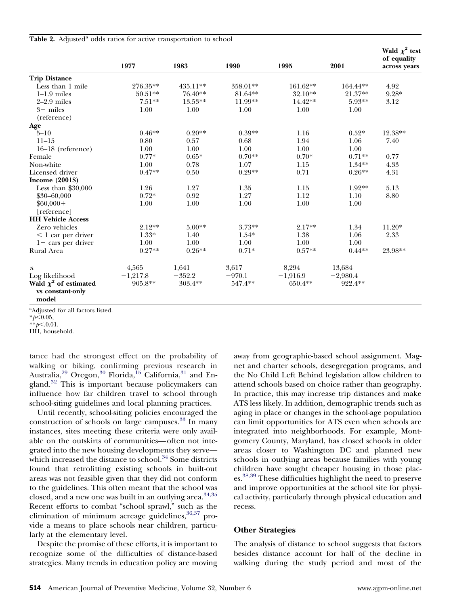<span id="page-5-0"></span>

| Table 2. Adjusted <sup>a</sup> odds ratios for active transportation to school |  |  |  |  |
|--------------------------------------------------------------------------------|--|--|--|--|
|                                                                                |  |  |  |  |

|                                                         | 1977       | 1983      | 1990     | 1995       | 2001       | Wald $\chi^2$ test<br>of equality<br>across years |
|---------------------------------------------------------|------------|-----------|----------|------------|------------|---------------------------------------------------|
|                                                         |            |           |          |            |            |                                                   |
| <b>Trip Distance</b>                                    |            |           |          |            |            |                                                   |
| Less than 1 mile                                        | 276.35**   | 435.11**  | 358.01** | 161.62**   | 164.44**   | 4.92                                              |
| $1-1.9$ miles                                           | $50.51**$  | 76.40**   | 81.64**  | 32.10**    | 21.37**    | $9.28*$                                           |
| $2-2.9$ miles                                           | $7.51**$   | $13.53**$ | 11.99**  | 14.42**    | 5.93**     | 3.12                                              |
| $3+$ miles                                              | 1.00       | 1.00      | 1.00     | 1.00       | 1.00       |                                                   |
| (reference)                                             |            |           |          |            |            |                                                   |
| Age                                                     |            |           |          |            |            |                                                   |
| $5 - 10$                                                | $0.46**$   | $0.20**$  | $0.39**$ | 1.16       | $0.52*$    | 12.38**                                           |
| $11 - 15$                                               | 0.80       | 0.57      | 0.68     | 1.94       | 1.06       | 7.40                                              |
| $16-18$ (reference)                                     | 1.00       | 1.00      | 1.00     | 1.00       | 1.00       |                                                   |
| Female                                                  | $0.77*$    | $0.65*$   | $0.70**$ | $0.70*$    | $0.71**$   | 0.77                                              |
| Non-white                                               | 1.00       | 0.78      | 1.07     | 1.15       | $1.34**$   | 4.33                                              |
| Licensed driver                                         | $0.47**$   | 0.50      | $0.29**$ | 0.71       | $0.26**$   | 4.31                                              |
| Income $(2001\$                                         |            |           |          |            |            |                                                   |
| Less than $$30,000$                                     | 1.26       | 1.27      | 1.35     | 1.15       | 1.92**     | 5.13                                              |
| $$30 - 60,000$                                          | $0.72*$    | 0.92      | 1.27     | 1.12       | 1.10       | 8.80                                              |
| $$60,000+$                                              | 1.00       | 1.00      | 1.00     | 1.00       | 1.00       |                                                   |
| [reference]                                             |            |           |          |            |            |                                                   |
| <b>HH Vehicle Access</b>                                |            |           |          |            |            |                                                   |
| Zero vehicles                                           | $2.12**$   | $5.00**$  | $3.73**$ | $2.17**$   | 1.34       | $11.20*$                                          |
| $<$ 1 car per driver                                    | $1.33*$    | 1.40      | $1.54*$  | 1.38       | 1.06       | 2.33                                              |
| $1+$ cars per driver                                    | 1.00       | 1.00      | 1.00     | 1.00       | 1.00       |                                                   |
| Rural Area                                              | $0.27**$   | $0.26**$  | $0.71*$  | $0.57**$   | $0.44**$   | 23.98**                                           |
|                                                         |            |           |          |            |            |                                                   |
| $\boldsymbol{n}$                                        | 4,565      | 1,641     | 3,617    | 8,294      | 13,684     |                                                   |
| Log likelihood                                          | $-1,217.8$ | $-352.2$  | $-970.1$ | $-1,916.9$ | $-2,980.4$ |                                                   |
| Wald $\chi^2$ of estimated<br>vs constant-only<br>model | 905.8**    | $303.4**$ | 547.4**  | 650.4**    | 922.4**    |                                                   |

a Adjusted for all factors listed.

 $*$ *\*p*<.0.01. HH, household.

tance had the strongest effect on the probability of walking or biking, confirming previous research in Australia,<sup>[29](#page-7-0)</sup> Oregon,<sup>[30](#page-7-0)</sup> Florida,<sup>[15](#page-7-0)</sup> California,<sup>[31](#page-7-0)</sup> and England.[32](#page-7-0) This is important because policymakers can influence how far children travel to school through school-siting guidelines and local planning practices.

Until recently, school-siting policies encouraged the construction of schools on large campuses.<sup>[33](#page-7-0)</sup> In many instances, sites meeting these criteria were only available on the outskirts of communities—often not integrated into the new housing developments they serve— which increased the distance to school.<sup>[34](#page-7-0)</sup> Some districts found that retrofitting existing schools in built-out areas was not feasible given that they did not conform to the guidelines. This often meant that the school was closed, and a new one was built in an outlying area.<sup>[34,35](#page-7-0)</sup> Recent efforts to combat "school sprawl," such as the elimination of minimum acreage guidelines,  $36,37$  provide a means to place schools near children, particularly at the elementary level.

Despite the promise of these efforts, it is important to recognize some of the difficulties of distance-based strategies. Many trends in education policy are moving away from geographic-based school assignment. Magnet and charter schools, desegregation programs, and the No Child Left Behind legislation allow children to attend schools based on choice rather than geography. In practice, this may increase trip distances and make ATS less likely. In addition, demographic trends such as aging in place or changes in the school-age population can limit opportunities for ATS even when schools are integrated into neighborhoods. For example, Montgomery County, Maryland, has closed schools in older areas closer to Washington DC and planned new schools in outlying areas because families with young children have sought cheaper housing in those plac-es.<sup>[38,39](#page-7-0)</sup> These difficulties highlight the need to preserve and improve opportunities at the school site for physical activity, particularly through physical education and recess.

## **Other Strategies**

The analysis of distance to school suggests that factors besides distance account for half of the decline in walking during the study period and most of the

 $*_{p< 0.05}$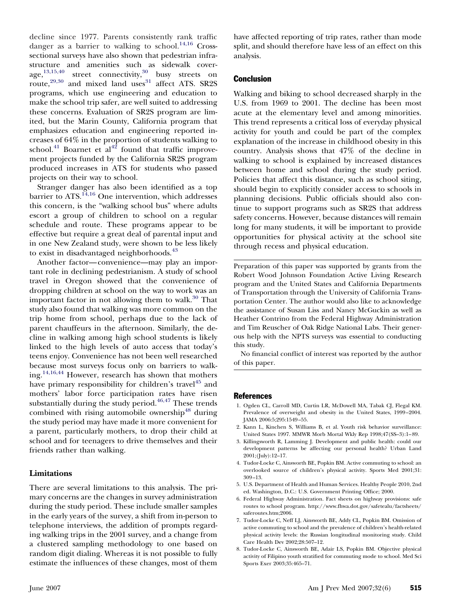<span id="page-6-0"></span>decline since 1977. Parents consistently rank traffic danger as a barrier to walking to school.<sup>[14,16](#page-7-0)</sup> Crosssectional surveys have also shown that pedestrian infrastructure and amenities such as sidewalk coverage, $^{13,15,40}$  $^{13,15,40}$  $^{13,15,40}$  street connectivity, $^{30}$  $^{30}$  $^{30}$  busy streets on route,<sup>[29,30](#page-7-0)</sup> and mixed land uses<sup>[31](#page-7-0)</sup> affect ATS. SR2S programs, which use engineering and education to make the school trip safer, are well suited to addressing these concerns. Evaluation of SR2S program are limited, but the Marin County, California program that emphasizes education and engineering reported increases of 64% in the proportion of students walking to school.<sup>[41](#page-7-0)</sup> Boarnet et  $al^{42}$  $al^{42}$  $al^{42}$  found that traffic improvement projects funded by the California SR2S program produced increases in ATS for students who passed projects on their way to school.

Stranger danger has also been identified as a top barrier to ATS.<sup>[14,16](#page-7-0)</sup> One intervention, which addresses this concern, is the "walking school bus" where adults escort a group of children to school on a regular schedule and route. These programs appear to be effective but require a great deal of parental input and in one New Zealand study, were shown to be less likely to exist in disadvantaged neighborhoods.<sup>[43](#page-7-0)</sup>

Another factor—convenience—may play an important role in declining pedestrianism. A study of school travel in Oregon showed that the convenience of dropping children at school on the way to work was an important factor in not allowing them to walk.<sup>[30](#page-7-0)</sup> That study also found that walking was more common on the trip home from school, perhaps due to the lack of parent chauffeurs in the afternoon. Similarly, the decline in walking among high school students is likely linked to the high levels of auto access that today's teens enjoy. Convenience has not been well researched because most surveys focus only on barriers to walking.[14,16,44](#page-7-0) However, research has shown that mothers have primary responsibility for children's travel<sup>[45](#page-7-0)</sup> and mothers' labor force participation rates have risen substantially during the study period. $46,47$  These trends combined with rising automobile ownership<sup>[48](#page-7-0)</sup> during the study period may have made it more convenient for a parent, particularly mothers, to drop their child at school and for teenagers to drive themselves and their friends rather than walking.

## **Limitations**

There are several limitations to this analysis. The primary concerns are the changes in survey administration during the study period. These include smaller samples in the early years of the survey, a shift from in-person to telephone interviews, the addition of prompts regarding walking trips in the 2001 survey, and a change from a clustered sampling methodology to one based on random digit dialing. Whereas it is not possible to fully estimate the influences of these changes, most of them

have affected reporting of trip rates, rather than mode split, and should therefore have less of an effect on this analysis.

# **Conclusion**

Walking and biking to school decreased sharply in the U.S. from 1969 to 2001. The decline has been most acute at the elementary level and among minorities. This trend represents a critical loss of everyday physical activity for youth and could be part of the complex explanation of the increase in childhood obesity in this country. Analysis shows that 47% of the decline in walking to school is explained by increased distances between home and school during the study period. Policies that affect this distance, such as school siting, should begin to explicitly consider access to schools in planning decisions. Public officials should also continue to support programs such as SR2S that address safety concerns. However, because distances will remain long for many students, it will be important to provide opportunities for physical activity at the school site through recess and physical education.

Preparation of this paper was supported by grants from the Robert Wood Johnson Foundation Active Living Research program and the United States and California Departments of Transportation through the University of California Transportation Center. The author would also like to acknowledge the assistance of Susan Liss and Nancy McGuckin as well as Heather Contrino from the Federal Highway Administration and Tim Reuscher of Oak Ridge National Labs. Their generous help with the NPTS surveys was essential to conducting this study.

No financial conflict of interest was reported by the author of this paper.

#### References

- 1. Ogden CL, Carroll MD, Curtin LR, McDowell MA, Tabak CJ, Flegal KM. Prevalence of overweight and obesity in the United States, 1999–2004. JAMA 2006:5;295:1549–55.
- 2. Kann L, Kinchen S, Williams B, et al. Youth risk behavior surveillance: United States 1997. MMWR Morb Mortal Wkly Rep 1998;47(SS–3):1–89.
- 3. Killingsworth R, Lamming J. Development and public health: could our development patterns be affecting our personal health? Urban Land 2001;(July):12–17.
- 4. Tudor-Locke C, Ainsworth BE, Popkin BM. Active commuting to school: an overlooked source of children's physical activity. Sports Med 2001;31: 309–13.
- 5. U.S. Department of Health and Human Services. Healthy People 2010, 2nd ed. Washington, D.C.: U.S. Government Printing Office; 2000.
- 6. Federal Highway Administration. Fact sheets on highway provisions: safe routes to school program. http://www.fhwa.dot.gov/safetealu/factsheets/ saferoutes.htm;2006.
- 7. Tudor-Locke C, Neff LJ, Ainsworth BE, Addy CL, Popkin BM. Omission of active commuting to school and the prevalence of children's health-related physical activity levels: the Russian longitudinal monitoring study. Child Care Health Dev 2002;28:507–12.
- 8. Tudor-Locke C, Ainsworth BE, Adair LS, Popkin BM. Objective physical activity of Filipino youth stratified for commuting mode to school. Med Sci Sports Exer 2003;35:465–71.